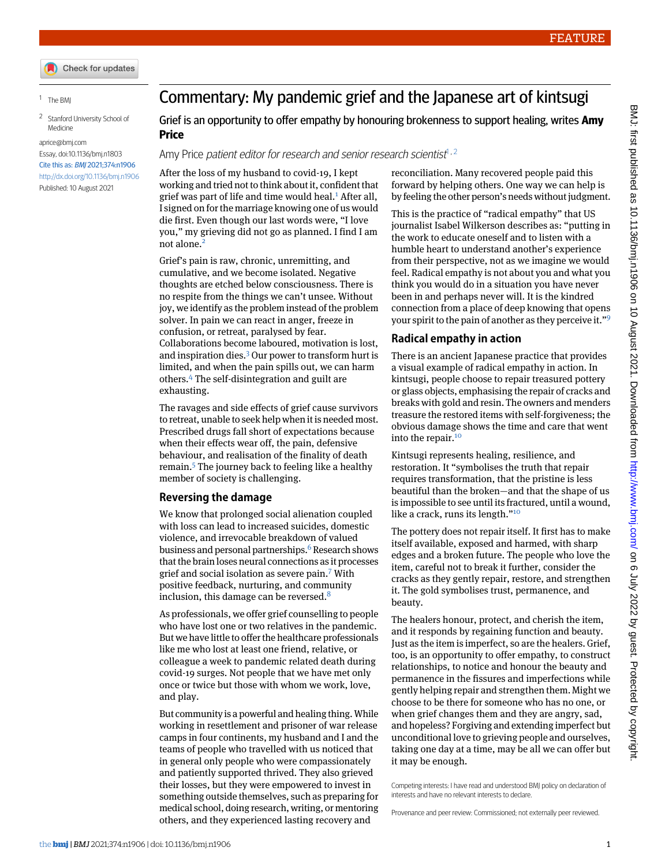## <span id="page-0-1"></span><span id="page-0-0"></span>1 The BMJ

<sup>2</sup> Stanford University School of Medicine

## [aprice@bmj.com](mailto:aprice@bmj.com) Essay, doi:[10.1136/bmj.n1803](http://dx.doi.org/10.1136/bmj.n1803) Cite this as: BMJ 2021;374:n1906 <http://dx.doi.org/10.1136/bmj.n1906> Published: 10 August 2021

Commentary: My pandemic grief and the Japanese art of kintsugi

Grief is an opportunity to offer empathy by honouring brokenness to support healing, writes **Amy Price**

Amy Price *patient editor for research and senior research scientist* $1,2$  $1,2$  $1,2$ 

After the loss of my husband to covid-19, I kept working and tried not to think about it, confident that grief was part of life and time would heal. $<sup>1</sup>$  $<sup>1</sup>$  $<sup>1</sup>$  After all,</sup> I signed on for the marriage knowing one of us would die first. Even though our last words were, "I love you," my grieving did not go as planned. I find I am not alone.<sup>[2](#page-1-1)</sup>

Grief's pain is raw, chronic, unremitting, and cumulative, and we become isolated. Negative thoughts are etched below consciousness. There is no respite from the things we can't unsee. Without joy, we identify as the problem instead of the problem solver. In pain we can react in anger, freeze in confusion, or retreat, paralysed by fear. Collaborations become laboured, motivation is lost, and inspiration dies.[3](#page-1-2) Our power to transform hurt is limited, and when the pain spills out, we can harm others.[4](#page-1-3) The self-disintegration and guilt are exhausting.

The ravages and side effects of grief cause survivors to retreat, unable to seek help when it is needed most. Prescribed drugs fall short of expectations because when their effects wear off, the pain, defensive behaviour, and realisation of the finality of death remain.[5](#page-1-4) The journey back to feeling like a healthy member of society is challenging.

## **Reversing the damage**

We know that prolonged social alienation coupled with loss can lead to increased suicides, domestic violence, and irrevocable breakdown of valued business and personal partnerships.<sup>[6](#page-1-5)</sup> Research shows that the brain loses neural connections as it processes grief and social isolation as severe pain.[7](#page-1-6) With positive feedback, nurturing, and community inclusion, this damage can be reversed. $8$ 

As professionals, we offer grief counselling to people who have lost one or two relatives in the pandemic. But we have little to offer the healthcare professionals like me who lost at least one friend, relative, or colleague a week to pandemic related death during covid-19 surges. Not people that we have met only once or twice but those with whom we work, love, and play.

But community is a powerful and healing thing.While working in resettlement and prisoner of war release camps in four continents, my husband and I and the teams of people who travelled with us noticed that in general only people who were compassionately and patiently supported thrived. They also grieved their losses, but they were empowered to invest in something outside themselves, such as preparing for medical school, doing research, writing, or mentoring others, and they experienced lasting recovery and

reconciliation. Many recovered people paid this forward by helping others. One way we can help is by feeling the other person's needs without judgment.

This is the practice of "radical empathy" that US journalist Isabel Wilkerson describes as: "putting in the work to educate oneself and to listen with a humble heart to understand another's experience from their perspective, not as we imagine we would feel. Radical empathy is not about you and what you think you would do in a situation you have never been in and perhaps never will. It is the kindred connection from a place of deep knowing that opens your spirit to the pain of another as they perceive it."<sup>[9](#page-1-8)</sup>

## **Radical empathy in action**

There is an ancient Japanese practice that provides a visual example of radical empathy in action. In kintsugi, people choose to repair treasured pottery or glass objects, emphasising the repair of cracks and breaks with gold and resin. The owners and menders treasure the restored items with self-forgiveness; the obvious damage shows the time and care that went into the repair.<sup>[10](#page-1-9)</sup>

Kintsugi represents healing, resilience, and restoration. It "symbolises the truth that repair requires transformation, that the pristine is less beautiful than the broken—and that the shape of us is impossible to see until its fractured, until a wound, like a crack, runs its length."<sup>[10](#page-1-9)</sup>

The pottery does not repair itself. It first has to make itself available, exposed and harmed, with sharp edges and a broken future. The people who love the item, careful not to break it further, consider the cracks as they gently repair, restore, and strengthen it. The gold symbolises trust, permanence, and beauty.

The healers honour, protect, and cherish the item, and it responds by regaining function and beauty. Just as the item is imperfect, so are the healers. Grief, too, is an opportunity to offer empathy, to construct relationships, to notice and honour the beauty and permanence in the fissures and imperfections while gently helping repair and strengthen them. Might we choose to be there for someone who has no one, or when grief changes them and they are angry, sad, and hopeless? Forgiving and extending imperfect but unconditional love to grieving people and ourselves, taking one day at a time, may be all we can offer but it may be enough.

Competing interests: I have read and understood BMJ policy on declaration of interests and have no relevant interests to declare.

Provenance and peer review: Commissioned; not externally peer reviewed.